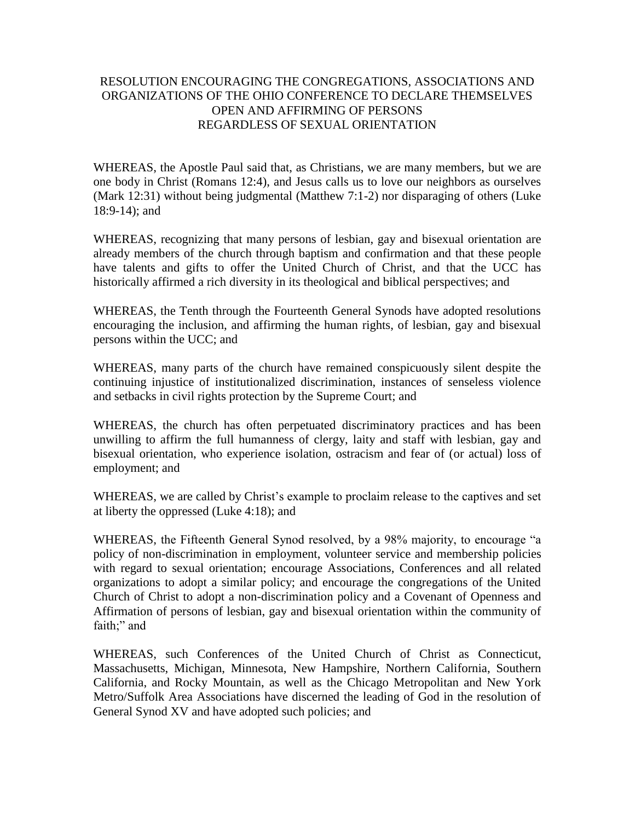## RESOLUTION ENCOURAGING THE CONGREGATIONS, ASSOCIATIONS AND ORGANIZATIONS OF THE OHIO CONFERENCE TO DECLARE THEMSELVES OPEN AND AFFIRMING OF PERSONS REGARDLESS OF SEXUAL ORIENTATION

WHEREAS, the Apostle Paul said that, as Christians, we are many members, but we are one body in Christ (Romans 12:4), and Jesus calls us to love our neighbors as ourselves (Mark 12:31) without being judgmental (Matthew 7:1-2) nor disparaging of others (Luke 18:9-14); and

WHEREAS, recognizing that many persons of lesbian, gay and bisexual orientation are already members of the church through baptism and confirmation and that these people have talents and gifts to offer the United Church of Christ, and that the UCC has historically affirmed a rich diversity in its theological and biblical perspectives; and

WHEREAS, the Tenth through the Fourteenth General Synods have adopted resolutions encouraging the inclusion, and affirming the human rights, of lesbian, gay and bisexual persons within the UCC; and

WHEREAS, many parts of the church have remained conspicuously silent despite the continuing injustice of institutionalized discrimination, instances of senseless violence and setbacks in civil rights protection by the Supreme Court; and

WHEREAS, the church has often perpetuated discriminatory practices and has been unwilling to affirm the full humanness of clergy, laity and staff with lesbian, gay and bisexual orientation, who experience isolation, ostracism and fear of (or actual) loss of employment; and

WHEREAS, we are called by Christ's example to proclaim release to the captives and set at liberty the oppressed (Luke 4:18); and

WHEREAS, the Fifteenth General Synod resolved, by a 98% majority, to encourage "a policy of non-discrimination in employment, volunteer service and membership policies with regard to sexual orientation; encourage Associations, Conferences and all related organizations to adopt a similar policy; and encourage the congregations of the United Church of Christ to adopt a non-discrimination policy and a Covenant of Openness and Affirmation of persons of lesbian, gay and bisexual orientation within the community of faith;" and

WHEREAS, such Conferences of the United Church of Christ as Connecticut, Massachusetts, Michigan, Minnesota, New Hampshire, Northern California, Southern California, and Rocky Mountain, as well as the Chicago Metropolitan and New York Metro/Suffolk Area Associations have discerned the leading of God in the resolution of General Synod XV and have adopted such policies; and